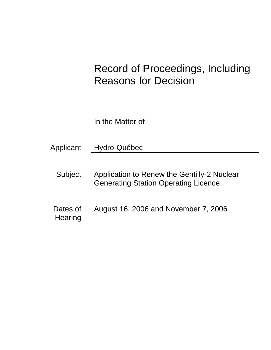# Record of Proceedings, Including Reasons for Decision

In the Matter of

- Applicant Hydro-Québec
	- Subject Application to Renew the Gentilly-2 Nuclear Generating Station Operating Licence
	- Dates of **Hearing** August 16, 2006 and November 7, 2006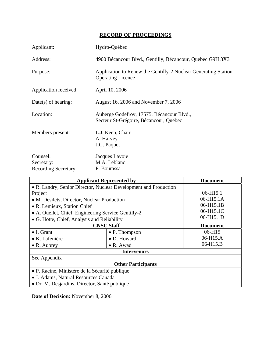# **RECORD OF PROCEEDINGS**

| Applicant:                                            | Hydro-Québec                                                                               |
|-------------------------------------------------------|--------------------------------------------------------------------------------------------|
| Address:                                              | 4900 Bécancour Blvd., Gentilly, Bécancour, Quebec G9H 3X3                                  |
| Purpose:                                              | Application to Renew the Gentilly-2 Nuclear Generating Station<br><b>Operating Licence</b> |
| Application received:                                 | April 10, 2006                                                                             |
| $Date(s)$ of hearing:                                 | August 16, 2006 and November 7, 2006                                                       |
| Location:                                             | Auberge Godefroy, 17575, Bécancour Blvd.,<br>Secteur St-Grégoire, Bécancour, Quebec        |
| Members present:                                      | L.J. Keen, Chair<br>A. Harvey<br>J.G. Paquet                                               |
| Counsel:<br>Secretary:<br><b>Recording Secretary:</b> | Jacques Lavoie<br>M.A. Leblanc<br>P. Bourassa                                              |

| <b>Applicant Represented by</b>                                  |                   | <b>Document</b> |  |  |
|------------------------------------------------------------------|-------------------|-----------------|--|--|
| • R. Landry, Senior Director, Nuclear Development and Production |                   |                 |  |  |
| Project                                                          |                   | $06 - H15.1$    |  |  |
| • M. Désilets, Director, Nuclear Production                      |                   | 06-H15.1A       |  |  |
| • R. Lemieux, Station Chief                                      |                   | 06-H15.1B       |  |  |
| • A. Ouellet, Chief, Engineering Service Gentilly-2              |                   | 06-H15.1C       |  |  |
| • G. Hotte, Chief, Analysis and Reliability                      |                   | 06-H15.1D       |  |  |
| <b>CNSC Staff</b>                                                |                   | <b>Document</b> |  |  |
| $\bullet$ I. Grant                                               | • P. Thompson     | 06-H15          |  |  |
| $\bullet$ K. Lafenière                                           | • D. Howard       | 06-H15.A        |  |  |
| $\bullet$ R. Aubrey                                              | $\bullet$ R. Awad | 06-H15.B        |  |  |
| <b>Intervenors</b>                                               |                   |                 |  |  |
| See Appendix                                                     |                   |                 |  |  |
| <b>Other Participants</b>                                        |                   |                 |  |  |
| • P. Racine, Ministère de la Sécurité publique                   |                   |                 |  |  |
| • J. Adams, Natural Resources Canada                             |                   |                 |  |  |
| • Dr. M. Desjardins, Director, Santé publique                    |                   |                 |  |  |

**Date of Decision:** November 8, 2006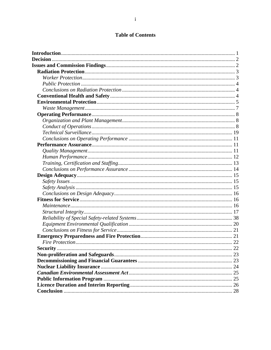# **Table of Contents**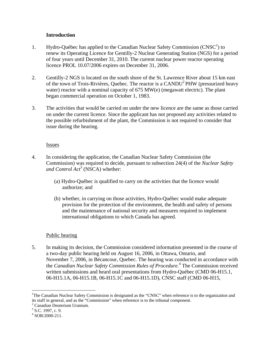# **Introduction**

- 1. Hydro-Québec has applied to the Canadian Nuclear Safety Commission (CNSC<sup>1</sup>) to renew its Operating Licence for Gentilly-2 Nuclear Generating Station (NGS) for a period of four years until December 31, 2010. The current nuclear power reactor operating licence PROL 10.07/2006 expires on December 31, 2006.
- 2. Gentilly-2 NGS is located on the south shore of the St. Lawrence River about 15 km east of the town of Trois-Rivières, Quebec. The reactor is a  $CANDU<sup>2</sup>PHW$  (pressurized heavy water) reactor with a nominal capacity of 675 MW(e) (megawatt electric). The plant began commercial operation on October 1, 1983.
- 3. The activities that would be carried on under the new licence are the same as those carried on under the current licence. Since the applicant has not proposed any activities related to the possible refurbishment of the plant, the Commission is not required to consider that issue during the hearing.

# **Issues**

- 4. In considering the application, the Canadian Nuclear Safety Commission (the Commission) was required to decide, pursuant to subsection 24(4) of the *Nuclear Safety and Control Act<sup>3</sup>* (NSCA) whether:
	- (a) Hydro-Québec is qualified to carry on the activities that the licence would authorize; and
	- (b) whether, in carrying on those activities, Hydro-Québec would make adequate provision for the protection of the environment, the health and safety of persons and the maintenance of national security and measures required to implement international obligations to which Canada has agreed.

# Public hearing

5. In making its decision, the Commission considered information presented in the course of a two-day public hearing held on August 16, 2006, in Ottawa, Ontario, and November 7, 2006, in Bécancour, Quebec. The hearing was conducted in accordance with the *Canadian Nuclear Safety Commission Rules of Procedure.*4 The Commission received written submissions and heard oral presentations from Hydro-Québec (CMD 06-H15.1, 06-H15.1A, 06-H15.1B, 06-H15.1C and 06-H15.1D), CNSC staff (CMD 06-H15,

 $\overline{a}$ 

<sup>&</sup>lt;sup>1</sup>The Canadian Nuclear Safety Commission is designated as the "CNSC" when reference is to the organization and its staff in general, and as the "Commission" when reference is to the tribunal component.

<sup>&</sup>lt;sup>2</sup> Canadian Deuterium Uranium.

 $\frac{3}{4}$  S.C. 1997, c. 9.<br> $\frac{4}{4}$  sop (2000, 211)

 $4$  SOR/2000-211.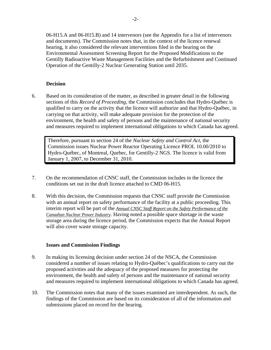06-H15.A and 06-H15.B) and 14 intervenors (see the Appendix for a list of intervenors and documents). The Commission notes that, in the context of the licence renewal hearing, it also considered the relevant interventions filed in the hearing on the Environmental Assessment Screening Report for the Proposed Modifications to the Gentilly Radioactive Waste Management Facilities and the Refurbishment and Continued Operation of the Gentilly-2 Nuclear Generating Station until 2035.

# **Decision**

6. Based on its consideration of the matter, as described in greater detail in the following sections of this *Record of Proceeding*, the Commission concludes that Hydro-Québec is qualified to carry on the activity that the licence will authorize and that Hydro-Québec, in carrying on that activity, will make adequate provision for the protection of the environment, the health and safety of persons and the maintenance of national security and measures required to implement international obligations to which Canada has agreed.

Therefore, pursuant to section 24 of the *Nuclear Safety and Control Act*, the Commission issues Nuclear Power Reactor Operating Licence PROL 10.00/2010 to Hydro-Québec, of Montreal, Quebec, for Gentilly-2 NGS. The licence is valid from January 1, 2007, to December 31, 2010.

- 7. On the recommendation of CNSC staff, the Commission includes in the licence the conditions set out in the draft licence attached to CMD 06-H15.
- 8. With this decision, the Commission requests that CNSC staff provide the Commission with an annual report on safety performance of the facility at a public proceeding. This interim report will be part of the *Annual CNSC Staff Report on the Safety Performance of the Canadian Nuclear Power Industry*. Having noted a possible space shortage in the waste storage area during the licence period, the Commission expects that the Annual Report will also cover waste storage capacity.

# **Issues and Commission Findings**

- 9. In making its licensing decision under section 24 of the NSCA, the Commission considered a number of issues relating to Hydro-Québec's qualifications to carry out the proposed activities and the adequacy of the proposed measures for protecting the environment, the health and safety of persons and the maintenance of national security and measures required to implement international obligations to which Canada has agreed.
- 10. The Commission notes that many of the issues examined are interdependent. As such, the findings of the Commission are based on its consideration of all of the information and submissions placed on record for the hearing.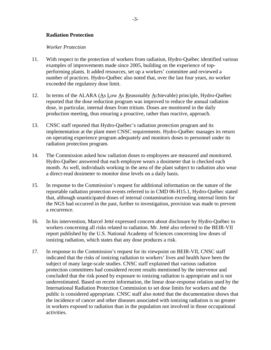#### **Radiation Protection**

#### *Worker Protection*

- 11. With respect to the protection of workers from radiation, Hydro-Québec identified various examples of improvements made since 2005, building on the experience of topperforming plants. It added resources, set up a workers' committee and reviewed a number of practices. Hydro-Québec also noted that, over the last four years, no worker exceeded the regulatory dose limit.
- 12. In terms of the ALARA (As Low As Reasonably Achievable) principle, Hydro-Québec reported that the dose reduction program was improved to reduce the annual radiation dose, in particular, internal doses from tritium. Doses are monitored in the daily production meeting, thus ensuring a proactive, rather than reactive, approach.
- 13. CNSC staff reported that Hydro-Québec's radiation protection program and its implementation at the plant meet CNSC requirements. Hydro-Québec manages its return on operating experience program adequately and monitors doses to personnel under its radiation protection program.
- 14. The Commission asked how radiation doses to employees are measured and monitored. Hydro-Québec answered that each employee wears a dosimeter that is checked each month. As well, individuals working in the area of the plant subject to radiation also wear a direct-read dosimeter to monitor dose levels on a daily basis.
- 15. In response to the Commission's request for additional information on the nature of the reportable radiation protection events referred to in CMD 06-H15.1, Hydro-Québec stated that, although unanticipated doses of internal contamination exceeding internal limits for the NGS had occurred in the past, further to investigation, provision was made to prevent a recurrence.
- 16. In his intervention, Marcel Jetté expressed concern about disclosure by Hydro-Québec to workers concerning all risks related to radiation. Mr. Jetté also referred to the BEIR-VII report published by the U.S. National Academy of Sciences concerning low doses of ionizing radiation, which states that any dose produces a risk.
- 17. In response to the Commission's request for its viewpoint on BEIR-VII, CNSC staff indicated that the risks of ionizing radiation to workers' lives and health have been the subject of many large-scale studies. CNSC staff explained that various radiation protection committees had considered recent results mentioned by the intervenor and concluded that the risk posed by exposure to ionizing radiation is appropriate and is not underestimated. Based on recent information, the linear dose-response relation used by the International Radiation Protection Commission to set dose limits for workers and the public is considered appropriate. CNSC staff also noted that the documentation shows that the incidence of cancer and other diseases associated with ionizing radiation is no greater in workers exposed to radiation than in the population not involved in those occupational activities.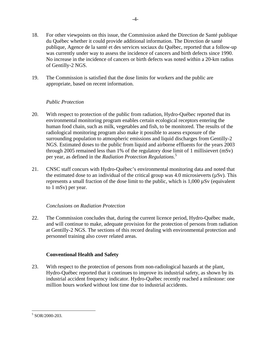- 18. For other viewpoints on this issue, the Commission asked the Direction de Santé publique du Québec whether it could provide additional information. The Direction de santé publique, Agence de la santé et des services sociaux du Québec, reported that a follow-up was currently under way to assess the incidence of cancers and birth defects since 1990. No increase in the incidence of cancers or birth defects was noted within a 20-km radius of Gentilly-2 NGS.
- 19. The Commission is satisfied that the dose limits for workers and the public are appropriate, based on recent information.

# *Public Protection*

- 20. With respect to protection of the public from radiation, Hydro-Québec reported that its environmental monitoring program enables certain ecological receptors entering the human food chain, such as milk, vegetables and fish, to be monitored. The results of the radiological monitoring program also make it possible to assess exposure of the surrounding population to atmospheric emissions and liquid discharges from Gentilly-2 NGS. Estimated doses to the public from liquid and airborne effluents for the years 2003 through 2005 remained less than 1% of the regulatory dose limit of 1 millisievert (mSv) per year, as defined in the *Radiation Protection Regulations*. 5
- 21. CNSC staff concurs with Hydro-Québec's environmental monitoring data and noted that the estimated dose to an individual of the critical group was  $4.0$  microsieverts ( $\mu Sv$ ). This represents a small fraction of the dose limit to the public, which is  $1,000 \mu Sv$  (equivalent to 1 mSv) per year.

# *Conclusions on Radiation Protection*

22. The Commission concludes that, during the current licence period, Hydro-Québec made, and will continue to make, adequate provision for the protection of persons from radiation at Gentilly-2 NGS. The sections of this record dealing with environmental protection and personnel training also cover related areas.

# **Conventional Health and Safety**

23. With respect to the protection of persons from non-radiological hazards at the plant, Hydro-Québec reported that it continues to improve its industrial safety, as shown by its industrial accident frequency indicator. Hydro-Québec recently reached a milestone: one million hours worked without lost time due to industrial accidents.

 $\overline{a}$ 5 SOR/2000-203.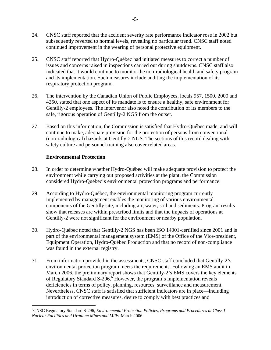- 24. CNSC staff reported that the accident severity rate performance indicator rose in 2002 but subsequently reverted to normal levels, revealing no particular trend. CNSC staff noted continued improvement in the wearing of personal protective equipment.
- 25. CNSC staff reported that Hydro-Québec had initiated measures to correct a number of issues and concerns raised in inspections carried out during shutdowns. CNSC staff also indicated that it would continue to monitor the non-radiological health and safety program and its implementation. Such measures include auditing the implementation of its respiratory protection program.
- 26. The intervention by the Canadian Union of Public Employees, locals 957, 1500, 2000 and 4250, stated that one aspect of its mandate is to ensure a healthy, safe environment for Gentilly-2 employees. The intervenor also noted the contribution of its members to the safe, rigorous operation of Gentilly-2 NGS from the outset.
- 27. Based on this information, the Commission is satisfied that Hydro-Québec made, and will continue to make, adequate provision for the protection of persons from conventional (non-radiological) hazards at Gentilly-2 NGS. The sections of this record dealing with safety culture and personnel training also cover related areas.

# **Environmental Protection**

 $\overline{a}$ 

- 28. In order to determine whether Hydro-Québec will make adequate provision to protect the environment while carrying out proposed activities at the plant, the Commission considered Hydro-Québec's environmental protection programs and performance.
- 29. According to Hydro-Québec, the environmental monitoring program currently implemented by management enables the monitoring of various environmental components of the Gentilly site, including air, water, soil and sediments. Program results show that releases are within prescribed limits and that the impacts of operations at Gentilly-2 were not significant for the environment or nearby population.
- 30. Hydro-Québec noted that Gentilly-2 NGS has been ISO 14001-certified since 2001 and is part of the environmental management system (EMS) of the Office of the Vice-president, Equipment Operation, Hydro-Québec Production and that no record of non-compliance was found in the external registry.
- 31. From information provided in the assessments, CNSC staff concluded that Gentilly-2's environmental protection program meets the requirements. Following an EMS audit in March 2006, the preliminary report shows that Gentilly-2's EMS covers the key elements of Regulatory Standard S-296. $6$  However, the program's implementation reveals deficiencies in terms of policy, planning, resources, surveillance and measurement. Nevertheless, CNSC staff is satisfied that sufficient indicators are in place—including introduction of corrective measures, desire to comply with best practices and

<sup>6</sup> CNSC Regulatory Standard S-296, *Environmental Protection Policies, Programs and Procedures at Class I Nuclear Facilities and Uranium Mines and Mills,* March 2006.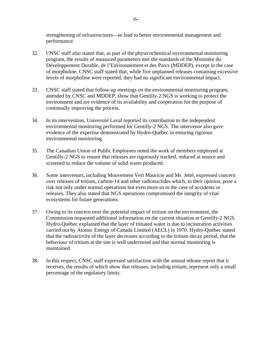strengthening of infrastructures—to lead to better environmental management and performance.

- 32. CNSC staff also stated that, as part of the physicochemical environmental monitoring program, the results of measured parameters met the standards of the Ministère du Développement Durable, de l'Environnement et des Parcs (MDDEP), except in the case of morpholine. CNSC staff stated that, while five unplanned releases containing excessive levels of morpholine were reported, they had no significant environmental impact.
- 33. CNSC staff stated that follow-up meetings on the environmental monitoring program, attended by CNSC and MDDEP, show that Gentilly-2 NGS is working to protect the environment and are evidence of its availability and cooperation for the purpose of continually improving the process.
- 34. In its intervention, Université Laval reported its contribution to the independent environmental monitoring performed for Gentilly-2 NGS. The intervenor also gave evidence of the expertise demonstrated by Hydro-Québec in ensuring rigorous environmental monitoring.
- 35. The Canadian Union of Public Employees noted the work of members employed at Gentilly-2 NGS to ensure that releases are rigorously tracked, reduced at source and screened to reduce the volume of solid waste produced.
- 36. Some intervenors, including Mouvement Vert Mauricie and Mr. Jetté, expressed concern over releases of tritium, carbon-14 and other radionuclides which, in their opinion, pose a risk not only under normal operations but even more so in the case of accidents or releases. They also stated that NGS operations compromised the integrity of vital ecosystems for future generations.
- 37. Owing to its concern over the potential impact of tritium on the environment, the Commission requested additional information on the current situation at Gentilly-2 NGS. Hydro-Québec explained that the layer of tritiated water is due to incineration activities carried out by Atomic Energy of Canada Limited (AECL) in 1970. Hydro-Québec stated that the radioactivity of the layer decreases according to the tritium decay period, that the behaviour of tritium at the site is well understood and that normal monitoring is maintained.
- 38. In this respect, CNSC staff expressed satisfaction with the annual release report that it receives, the results of which show that releases, including tritium, represent only a small percentage of the regulatory limits.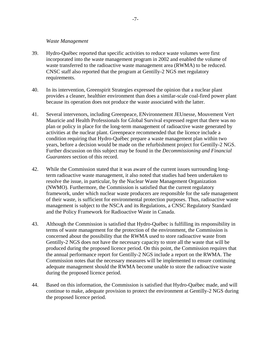#### *Waste Management*

- 39. Hydro-Québec reported that specific activities to reduce waste volumes were first incorporated into the waste management program in 2002 and enabled the volume of waste transferred to the radioactive waste management area (RWMA) to be reduced. CNSC staff also reported that the program at Gentilly-2 NGS met regulatory requirements.
- 40. In its intervention, Greenspirit Strategies expressed the opinion that a nuclear plant provides a cleaner, healthier environment than does a similar-scale coal-fired power plant because its operation does not produce the waste associated with the latter.
- 41. Several intervenors, including Greenpeace, ENvironnement JEUnesse, Mouvement Vert Mauricie and Health Professionals for Global Survival expressed regret that there was no plan or policy in place for the long-term management of radioactive waste generated by activities at the nuclear plant. Greenpeace recommended that the licence include a condition requiring that Hydro-Québec prepare a waste management plan within two years, before a decision would be made on the refurbishment project for Gentilly-2 NGS. Further discussion on this subject may be found in the *Decommissioning and Financial Guarantees* section of this record.
- 42. While the Commission stated that it was aware of the current issues surrounding longterm radioactive waste management, it also noted that studies had been undertaken to resolve the issue, in particular, by the Nuclear Waste Management Organization (NWMO). Furthermore, the Commission is satisfied that the current regulatory framework, under which nuclear waste producers are responsible for the safe management of their waste, is sufficient for environmental protection purposes. Thus, radioactive waste management is subject to the NSCA and its Regulations, a CNSC Regulatory Standard and the Policy Framework for Radioactive Waste in Canada.
- 43. Although the Commission is satisfied that Hydro-Québec is fulfilling its responsibility in terms of waste management for the protection of the environment, the Commission is concerned about the possibility that the RWMA used to store radioactive waste from Gentilly-2 NGS does not have the necessary capacity to store all the waste that will be produced during the proposed licence period. On this point, the Commission requires that the annual performance report for Gentilly-2 NGS include a report on the RWMA. The Commission notes that the necessary measures will be implemented to ensure continuing adequate management should the RWMA become unable to store the radioactive waste during the proposed licence period.
- 44. Based on this information, the Commission is satisfied that Hydro-Québec made, and will continue to make, adequate provision to protect the environment at Gentilly-2 NGS during the proposed licence period.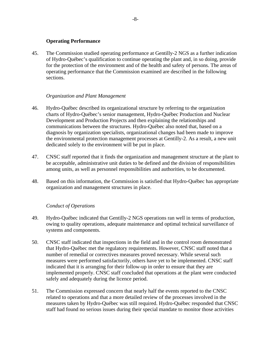# **Operating Performance**

45. The Commission studied operating performance at Gentilly-2 NGS as a further indication of Hydro-Québec's qualification to continue operating the plant and, in so doing, provide for the protection of the environment and of the health and safety of persons. The areas of operating performance that the Commission examined are described in the following sections.

# *Organization and Plant Management*

- 46. Hydro-Québec described its organizational structure by referring to the organization charts of Hydro-Québec's senior management, Hydro-Québec Production and Nuclear Development and Production Projects and then explaining the relationships and communications between the structures. Hydro-Québec also noted that, based on a diagnosis by organization specialists, organizational changes had been made to improve the environmental protection management processes at Gentilly-2. As a result, a new unit dedicated solely to the environment will be put in place.
- 47. CNSC staff reported that it finds the organization and management structure at the plant to be acceptable, administrative unit duties to be defined and the division of responsibilities among units, as well as personnel responsibilities and authorities, to be documented.
- 48. Based on this information, the Commission is satisfied that Hydro-Québec has appropriate organization and management structures in place.

# *Conduct of Operations*

- 49. Hydro-Québec indicated that Gentilly-2 NGS operations ran well in terms of production, owing to quality operations, adequate maintenance and optimal technical surveillance of systems and components.
- 50. CNSC staff indicated that inspections in the field and in the control room demonstrated that Hydro-Québec met the regulatory requirements. However, CNSC staff noted that a number of remedial or correctives measures proved necessary. While several such measures were performed satisfactorily, others have yet to be implemented. CNSC staff indicated that it is arranging for their follow-up in order to ensure that they are implemented properly. CNSC staff concluded that operations at the plant were conducted safely and adequately during the licence period.
- 51. The Commission expressed concern that nearly half the events reported to the CNSC related to operations and that a more detailed review of the processes involved in the measures taken by Hydro-Québec was still required. Hydro-Québec responded that CNSC staff had found no serious issues during their special mandate to monitor those activities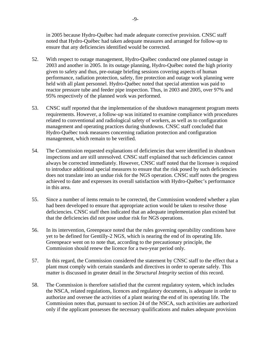in 2005 because Hydro-Québec had made adequate corrective provision. CNSC staff noted that Hydro-Québec had taken adequate measures and arranged for follow-up to ensure that any deficiencies identified would be corrected.

- 52. With respect to outage management, Hydro-Québec conducted one planned outage in 2003 and another in 2005. In its outage planning, Hydro-Québec noted the high priority given to safety and thus, pre-outage briefing sessions covering aspects of human performance, radiation protection, safety, fire protection and outage work planning were held with all plant personnel. Hydro-Québec noted that special attention was paid to reactor pressure tube and feeder pipe inspection. Thus, in 2003 and 2005, over 97% and 95% respectively of the planned work was performed.
- 53. CNSC staff reported that the implementation of the shutdown management program meets requirements. However, a follow-up was initiated to examine compliance with procedures related to conventional and radiological safety of workers, as well as to configuration management and operating practices during shutdowns. CNSC staff concluded that Hydro-Québec took measures concerning radiation protection and configuration management, which remain to be verified.
- 54. The Commission requested explanations of deficiencies that were identified in shutdown inspections and are still unresolved. CNSC staff explained that such deficiencies cannot always be corrected immediately. However, CNSC staff noted that the licensee is required to introduce additional special measures to ensure that the risk posed by such deficiencies does not translate into an undue risk for the NGS operation. CNSC staff notes the progress achieved to date and expresses its overall satisfaction with Hydro-Québec's performance in this area.
- 55. Since a number of items remain to be corrected, the Commission wondered whether a plan had been developed to ensure that appropriate action would be taken to resolve those deficiencies. CNSC staff then indicated that an adequate implementation plan existed but that the deficiencies did not pose undue risk for NGS operations.
- 56. In its intervention, Greenpeace noted that the rules governing operability conditions have yet to be defined for Gentilly-2 NGS, which is nearing the end of its operating life. Greenpeace went on to note that, according to the precautionary principle, the Commission should renew the licence for a two-year period only.
- 57. In this regard, the Commission considered the statement by CNSC staff to the effect that a plant must comply with certain standards and directives in order to operate safely. This matter is discussed in greater detail in the *Structural Integrity* section of this record.
- 58. The Commission is therefore satisfied that the current regulatory system, which includes the NSCA, related regulations, licences and regulatory documents, is adequate in order to authorize and oversee the activities of a plant nearing the end of its operating life. The Commission notes that, pursuant to section 24 of the NSCA, such activities are authorized only if the applicant possesses the necessary qualifications and makes adequate provision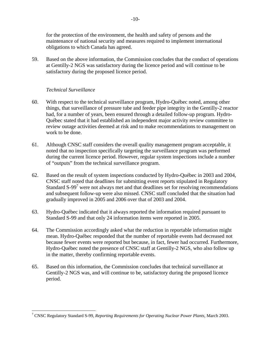for the protection of the environment, the health and safety of persons and the maintenance of national security and measures required to implement international obligations to which Canada has agreed.

59. Based on the above information, the Commission concludes that the conduct of operations at Gentilly-2 NGS was satisfactory during the licence period and will continue to be satisfactory during the proposed licence period.

# *Technical Surveillance*

- 60. With respect to the technical surveillance program, Hydro-Québec noted, among other things, that surveillance of pressure tube and feeder pipe integrity in the Gentilly-2 reactor had, for a number of years, been ensured through a detailed follow-up program. Hydro-Québec stated that it had established an independent major activity review committee to review outage activities deemed at risk and to make recommendations to management on work to be done.
- 61. Although CNSC staff considers the overall quality management program acceptable, it noted that no inspection specifically targeting the surveillance program was performed during the current licence period. However, regular system inspections include a number of "outputs" from the technical surveillance program.
- 62. Based on the result of system inspections conducted by Hydro-Québec in 2003 and 2004, CNSC staff noted that deadlines for submitting event reports stipulated in Regulatory Standard S-99<sup>7</sup> were not always met and that deadlines set for resolving recommendations and subsequent follow-up were also missed. CNSC staff concluded that the situation had gradually improved in 2005 and 2006 over that of 2003 and 2004.
- 63. Hydro-Québec indicated that it always reported the information required pursuant to Standard S-99 and that only 24 information items were reported in 2005.
- 64. The Commission accordingly asked what the reduction in reportable information might mean. Hydro-Québec responded that the number of reportable events had decreased not because fewer events were reported but because, in fact, fewer had occurred. Furthermore, Hydro-Québec noted the presence of CNSC staff at Gentilly-2 NGS, who also follow up in the matter, thereby confirming reportable events.
- 65. Based on this information, the Commission concludes that technical surveillance at Gentilly-2 NGS was, and will continue to be, satisfactory during the proposed licence period.

 7 CNSC Regulatory Standard S-99, *Reporting Requirements for Operating Nuclear Power Plants,* March 2003.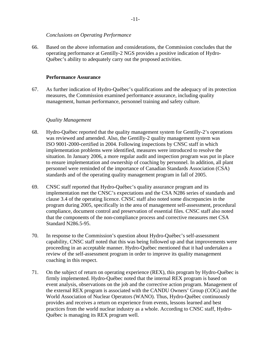#### *Conclusions on Operating Performance*

66. Based on the above information and considerations, the Commission concludes that the operating performance at Gentilly-2 NGS provides a positive indication of Hydro-Québec's ability to adequately carry out the proposed activities.

#### **Performance Assurance**

67. As further indication of Hydro-Québec's qualifications and the adequacy of its protection measures, the Commission examined performance assurance, including quality management, human performance, personnel training and safety culture.

#### *Quality Management*

- 68. Hydro-Québec reported that the quality management system for Gentilly-2's operations was reviewed and amended. Also, the Gentilly-2 quality management system was ISO 9001-2000-certified in 2004. Following inspections by CNSC staff in which implementation problems were identified, measures were introduced to resolve the situation. In January 2006, a more regular audit and inspection program was put in place to ensure implementation and ownership of coaching by personnel. In addition, all plant personnel were reminded of the importance of Canadian Standards Association (CSA) standards and of the operating quality management program in fall of 2005.
- 69. CNSC staff reported that Hydro-Québec's quality assurance program and its implementation met the CNSC's expectations and the CSA N286 series of standards and clause 3.4 of the operating licence. CNSC staff also noted some discrepancies in the program during 2005, specifically in the area of management self-assessment, procedural compliance, document control and preservation of essential files. CNSC staff also noted that the components of the non-compliance process and corrective measures met CSA Standard N286.5-95.
- 70. In response to the Commission's question about Hydro-Québec's self-assessment capability, CNSC staff noted that this was being followed up and that improvements were proceeding in an acceptable manner. Hydro-Québec mentioned that it had undertaken a review of the self-assessment program in order to improve its quality management coaching in this respect.
- 71. On the subject of return on operating experience (REX), this program by Hydro-Québec is firmly implemented. Hydro-Québec noted that the internal REX program is based on event analysis, observations on the job and the corrective action program. Management of the external REX program is associated with the CANDU Owners' Group (COG) and the World Association of Nuclear Operators (WANO). Thus, Hydro-Québec continuously provides and receives a return on experience from events, lessons learned and best practices from the world nuclear industry as a whole. According to CNSC staff, Hydro-Québec is managing its REX program well.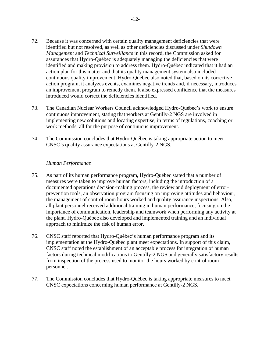- 72. Because it was concerned with certain quality management deficiencies that were identified but not resolved, as well as other deficiencies discussed under *Shutdown Management* and *Technical Surveillance* in this record, the Commission asked for assurances that Hydro-Québec is adequately managing the deficiencies that were identified and making provision to address them. Hydro-Québec indicated that it had an action plan for this matter and that its quality management system also included continuous quality improvement. Hydro-Québec also noted that, based on its corrective action program, it analyzes events, examines negative trends and, if necessary, introduces an improvement program to remedy them. It also expressed confidence that the measures introduced would correct the deficiencies identified.
- 73. The Canadian Nuclear Workers Council acknowledged Hydro-Québec's work to ensure continuous improvement, stating that workers at Gentilly-2 NGS are involved in implementing new solutions and locating expertise, in terms of regulations, coaching or work methods, all for the purpose of continuous improvement.
- 74. The Commission concludes that Hydro-Québec is taking appropriate action to meet CNSC's quality assurance expectations at Gentilly-2 NGS.

#### *Human Performance*

- 75. As part of its human performance program, Hydro-Québec stated that a number of measures were taken to improve human factors, including the introduction of a documented operations decision-making process, the review and deployment of errorprevention tools, an observation program focusing on improving attitudes and behaviour, the management of control room hours worked and quality assurance inspections. Also, all plant personnel received additional training in human performance, focusing on the importance of communication, leadership and teamwork when performing any activity at the plant. Hydro-Québec also developed and implemented training and an individual approach to minimize the risk of human error.
- 76. CNSC staff reported that Hydro-Québec's human performance program and its implementation at the Hydro-Québec plant meet expectations. In support of this claim, CNSC staff noted the establishment of an acceptable process for integration of human factors during technical modifications to Gentilly-2 NGS and generally satisfactory results from inspection of the process used to monitor the hours worked by control room personnel.
- 77. The Commission concludes that Hydro-Québec is taking appropriate measures to meet CNSC expectations concerning human performance at Gentilly-2 NGS.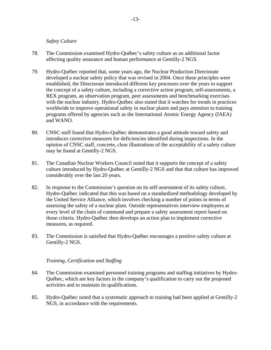#### *Safety Culture*

- 78. The Commission examined Hydro-Québec's safety culture as an additional factor affecting quality assurance and human performance at Gentilly-2 NGS.
- 79. Hydro-Québec reported that, some years ago, the Nuclear Production Directorate developed a nuclear safety policy that was revised in 2004. Once these principles were established, the Directorate introduced different key processes over the years to support the concept of a safety culture, including a corrective action program, self-assessments, a REX program, an observation program, peer assessments and benchmarking exercises with the nuclear industry. Hydro-Québec also stated that it watches for trends in practices worldwide to improve operational safety in nuclear plants and pays attention to training programs offered by agencies such as the International Atomic Energy Agency (IAEA) and WANO.
- 80. CNSC staff found that Hydro-Québec demonstrates a good attitude toward safety and introduces corrective measures for deficiencies identified during inspections. In the opinion of CNSC staff, concrete, clear illustrations of the acceptability of a safety culture may be found at Gentilly-2 NGS.
- 81. The Canadian Nuclear Workers Council noted that it supports the concept of a safety culture introduced by Hydro-Québec at Gentilly-2 NGS and that that culture has improved considerably over the last 20 years.
- 82. In response to the Commission's question on its self-assessment of its safety culture, Hydro-Québec indicated that this was based on a standardized methodology developed by the United Service Alliance, which involves checking a number of points in terms of assessing the safety of a nuclear plant. Outside representatives interview employees at every level of the chain of command and prepare a safety assessment report based on those criteria. Hydro-Québec then develops an action plan to implement corrective measures, as required.
- 83. The Commission is satisfied that Hydro-Québec encourages a positive safety culture at Gentilly-2 NGS.

#### *Training, Certification and Staffing*

- 84. The Commission examined personnel training programs and staffing initiatives by Hydro-Québec, which are key factors in the company's qualification to carry out the proposed activities and to maintain its qualifications.
- 85. Hydro-Québec noted that a systematic approach to training had been applied at Gentilly-2 NGS, in accordance with the requirements.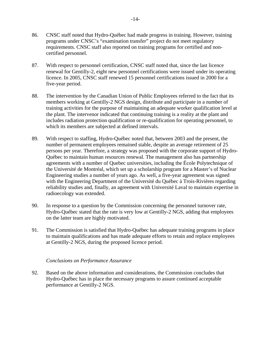- 86. CNSC staff noted that Hydro-Québec had made progress in training. However, training programs under CNSC's "examination transfer" project do not meet regulatory requirements. CNSC staff also reported on training programs for certified and noncertified personnel.
- 87. With respect to personnel certification, CNSC staff noted that, since the last licence renewal for Gentilly-2, eight new personnel certifications were issued under its operating licence. In 2005, CNSC staff renewed 15 personnel certifications issued in 2000 for a five-year period.
- 88. The intervention by the Canadian Union of Public Employees referred to the fact that its members working at Gentilly-2 NGS design, distribute and participate in a number of training activities for the purpose of maintaining an adequate worker qualification level at the plant. The intervenor indicated that continuing training is a reality at the plant and includes radiation protection qualification or re-qualification for operating personnel, to which its members are subjected at defined intervals.
- 89. With respect to staffing, Hydro-Québec noted that, between 2003 and the present, the number of permanent employees remained stable, despite an average retirement of 25 persons per year. Therefore, a strategy was proposed with the corporate support of Hydro-Québec to maintain human resources renewal. The management also has partnership agreements with a number of Quebec universities, including the École Polytechnique of the Université de Montréal, which set up a scholarship program for a Master's of Nuclear Engineering studies a number of years ago. As well, a five-year agreement was signed with the Engineering Department of the Université du Québec à Trois-Rivières regarding reliability studies and, finally, an agreement with Université Laval to maintain expertise in radioecology was extended.
- 90. In response to a question by the Commission concerning the personnel turnover rate, Hydro-Québec stated that the rate is very low at Gentilly-2 NGS, adding that employees on the latter team are highly motivated.
- 91. The Commission is satisfied that Hydro-Québec has adequate training programs in place to maintain qualifications and has made adequate efforts to retain and replace employees at Gentilly-2 NGS, during the proposed licence period.

#### *Conclusions on Performance Assurance*

92. Based on the above information and considerations, the Commission concludes that Hydro-Québec has in place the necessary programs to assure continued acceptable performance at Gentilly-2 NGS.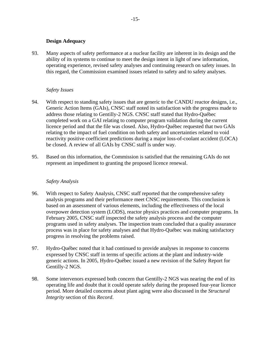#### **Design Adequacy**

93. Many aspects of safety performance at a nuclear facility are inherent in its design and the ability of its systems to continue to meet the design intent in light of new information, operating experience, revised safety analyses and continuing research on safety issues. In this regard, the Commission examined issues related to safety and to safety analyses.

#### *Safety Issues*

- 94. With respect to standing safety issues that are generic to the CANDU reactor designs, i.e., Generic Action Items (GAIs), CNSC staff noted its satisfaction with the progress made to address those relating to Gentilly-2 NGS. CNSC staff stated that Hydro-Québec completed work on a GAI relating to computer program validation during the current licence period and that the file was closed. Also, Hydro-Québec requested that two GAIs relating to the impact of fuel condition on both safety and uncertainties related to void reactivity positive coefficient predictions during a major loss-of-coolant accident (LOCA) be closed. A review of all GAIs by CNSC staff is under way.
- 95. Based on this information, the Commission is satisfied that the remaining GAIs do not represent an impediment to granting the proposed licence renewal.

#### *Safety Analysis*

- 96. With respect to Safety Analysis, CNSC staff reported that the comprehensive safety analysis programs and their performance meet CNSC requirements. This conclusion is based on an assessment of various elements, including the effectiveness of the local overpower detection system (LODS), reactor physics practices and computer programs. In February 2005, CNSC staff inspected the safety analysis process and the computer programs used in safety analyses. The inspection team concluded that a quality assurance process was in place for safety analyses and that Hydro-Québec was making satisfactory progress in resolving the problems raised.
- 97. Hydro-Québec noted that it had continued to provide analyses in response to concerns expressed by CNSC staff in terms of specific actions at the plant and industry-wide generic actions. In 2005, Hydro-Québec issued a new revision of the Safety Report for Gentilly-2 NGS.
- 98. Some intervenors expressed both concern that Gentilly-2 NGS was nearing the end of its operating life and doubt that it could operate safely during the proposed four-year licence period. More detailed concerns about plant aging were also discussed in the *Structural Integrity* section of this *Record*.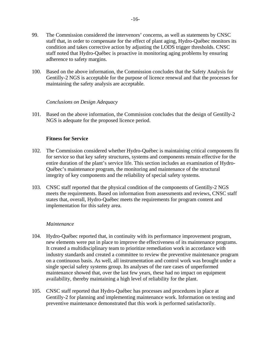- 99. The Commission considered the intervenors' concerns, as well as statements by CNSC staff that, in order to compensate for the effect of plant aging, Hydro-Québec monitors its condition and takes corrective action by adjusting the LODS trigger thresholds. CNSC staff noted that Hydro-Québec is proactive in monitoring aging problems by ensuring adherence to safety margins.
- 100. Based on the above information, the Commission concludes that the Safety Analysis for Gentilly-2 NGS is acceptable for the purpose of licence renewal and that the processes for maintaining the safety analysis are acceptable.

#### *Conclusions on Design Adequacy*

101. Based on the above information, the Commission concludes that the design of Gentilly-2 NGS is adequate for the proposed licence period.

#### **Fitness for Service**

- 102. The Commission considered whether Hydro-Québec is maintaining critical components fit for service so that key safety structures, systems and components remain effective for the entire duration of the plant's service life. This section includes an examination of Hydro-Québec's maintenance program, the monitoring and maintenance of the structural integrity of key components and the reliability of special safety systems.
- 103. CNSC staff reported that the physical condition of the components of Gentilly-2 NGS meets the requirements. Based on information from assessments and reviews, CNSC staff states that, overall, Hydro-Québec meets the requirements for program content and implementation for this safety area.

#### *Maintenance*

- 104. Hydro-Québec reported that, in continuity with its performance improvement program, new elements were put in place to improve the effectiveness of its maintenance programs. It created a multidisciplinary team to prioritize remediation work in accordance with industry standards and created a committee to review the preventive maintenance program on a continuous basis. As well, all instrumentation and control work was brought under a single special safety systems group. Its analyses of the rare cases of unperformed maintenance showed that, over the last few years, these had no impact on equipment availability, thereby maintaining a high level of reliability for the plant.
- 105. CNSC staff reported that Hydro-Québec has processes and procedures in place at Gentilly-2 for planning and implementing maintenance work. Information on testing and preventive maintenance demonstrated that this work is performed satisfactorily.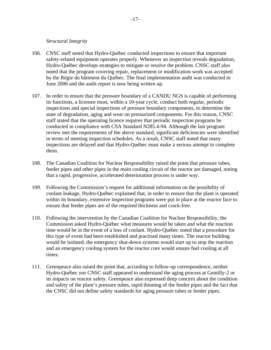#### *Structural Integrity*

- 106. CNSC staff noted that Hydro-Québec conducted inspections to ensure that important safety-related equipment operates properly. Whenever an inspection reveals degradation, Hydro-Québec develops strategies to mitigate or resolve the problem. CNSC staff also noted that the program covering repair, replacement or modification work was accepted by the Régie du bâtiment du Québec. The final implementation audit was conducted in June 2006 and the audit report is now being written up.
- 107. In order to ensure that the pressure boundary of a CANDU NGS is capable of performing its functions, a licensee must, within a 10-year cycle, conduct both regular, periodic inspections and special inspections of pressure boundary components, to determine the state of degradation, aging and wear on pressurized components. For this reason, CNSC staff stated that the operating licence requires that periodic inspection programs be conducted in compliance with CSA Standard N285.4-94. Although the last program review met the requirements of the above standard, significant deficiencies were identified in terms of meeting inspection schedules. As a result, CNSC staff noted that many inspections are delayed and that Hydro-Québec must make a serious attempt to complete them.
- 108. The Canadian Coalition for Nuclear Responsibility raised the point that pressure tubes, feeder pipes and other pipes in the main cooling circuit of the reactor are damaged, noting that a rapid, progressive, accelerated deterioration process is under way.
- 109. Following the Commission's request for additional information on the possibility of coolant leakage, Hydro-Québec explained that, in order to ensure that the plant is operated within its boundary, extensive inspection programs were put in place at the reactor face to ensure that feeder pipes are of the required thickness and crack-free.
- 110. Following the intervention by the Canadian Coalition for Nuclear Responsibility, the Commission asked Hydro-Québec what measures would be taken and what the reaction time would be in the event of a loss of coolant. Hydro-Québec noted that a procedure for this type of event had been established and practised many times. The reactor building would be isolated, the emergency shut-down systems would start up to stop the reaction and an emergency cooling system for the reactor core would ensure fuel cooling at all times.
- 111. Greenpeace also raised the point that, according to follow-up correspondence, neither Hydro-Québec nor CNSC staff appeared to understand the aging process at Gentilly-2 or its impacts on reactor safety. Greenpeace also expressed deep concern about the condition and safety of the plant's pressure tubes, rapid thinning of the feeder pipes and the fact that the CNSC did not define safety standards for aging pressure tubes or feeder pipes.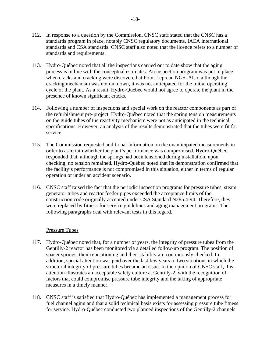- 112. In response to a question by the Commission, CNSC staff stated that the CNSC has a standards program in place, notably CNSC regulatory documents, IAEA international standards and CSA standards. CNSC staff also noted that the licence refers to a number of standards and requirements.
- 113. Hydro-Québec noted that all the inspections carried out to date show that the aging process is in line with the conceptual estimates. An inspection program was put in place when cracks and cracking were discovered at Point Lepreau NGS. Also, although the cracking mechanism was not unknown, it was not anticipated for the initial operating cycle of the plant. As a result, Hydro-Québec would not agree to operate the plant in the presence of known significant cracks.
- 114. Following a number of inspections and special work on the reactor components as part of the refurbishment pre-project, Hydro-Québec noted that the spring tension measurements on the guide tubes of the reactivity mechanism were not as anticipated in the technical specifications. However, an analysis of the results demonstrated that the tubes were fit for service.
- 115. The Commission requested additional information on the unanticipated measurements in order to ascertain whether the plant's performance was compromised. Hydro-Québec responded that, although the springs had been tensioned during installation, upon checking, no tension remained. Hydro-Québec noted that its demonstration confirmed that the facility's performance is not compromised in this situation, either in terms of regular operation or under an accident scenario.
- 116. CNSC staff raised the fact that the periodic inspection programs for pressure tubes, steam generator tubes and reactor feeder pipes exceeded the acceptance limits of the construction code originally accepted under CSA Standard N285.4-94. Therefore, they were replaced by fitness-for-service guidelines and aging management programs. The following paragraphs deal with relevant tests in this regard.

#### Pressure Tubes

- 117. Hydro-Québec noted that, for a number of years, the integrity of pressure tubes from the Gentilly-2 reactor has been monitored via a detailed follow-up program. The position of spacer springs, their repositioning and their stability are continuously checked. In addition, special attention was paid over the last few years to two situations in which the structural integrity of pressure tubes became an issue. In the opinion of CNSC staff, this attention illustrates an acceptable safety culture at Gentilly-2, with the recognition of factors that could compromise pressure tube integrity and the taking of appropriate measures in a timely manner.
- 118. CNSC staff is satisfied that Hydro-Québec has implemented a management process for fuel channel aging and that a solid technical basis exists for assessing pressure tube fitness for service. Hydro-Québec conducted two planned inspections of the Gentilly-2 channels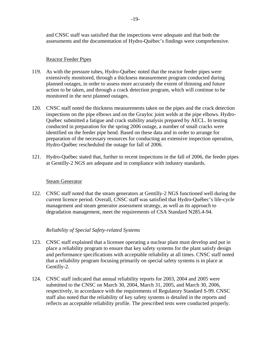and CNSC staff was satisfied that the inspections were adequate and that both the assessments and the documentation of Hydro-Québec's findings were comprehensive.

#### Reactor Feeder Pipes

- 119. As with the pressure tubes, Hydro-Québec noted that the reactor feeder pipes were extensively monitored, through a thickness measurement program conducted during planned outages, in order to assess more accurately the extent of thinning and future action to be taken, and through a crack detection program, which will continue to be monitored in the next planned outages.
- 120. CNSC staff noted the thickness measurements taken on the pipes and the crack detection inspections on the pipe elbows and on the Grayloc joint welds at the pipe elbows. Hydro-Québec submitted a fatigue and crack stability analysis prepared by AECL. In testing conducted in preparation for the spring 2006 outage, a number of small cracks were identified on the feeder pipe bend. Based on these data and in order to arrange for preparation of the necessary resources for conducting an extensive inspection operation, Hydro-Québec rescheduled the outage for fall of 2006.
- 121. Hydro-Québec stated that, further to recent inspections in the fall of 2006, the feeder pipes at Gentilly-2 NGS are adequate and in compliance with industry standards.

#### Steam Generator

122. CNSC staff noted that the steam generators at Gentilly-2 NGS functioned well during the current licence period. Overall, CNSC staff was satisfied that Hydro-Québec's life-cycle management and steam generator assessment strategy, as well as its approach to degradation management, meet the requirements of CSA Standard N285.4-94.

#### *Reliability of Special Safety-related Systems*

- 123. CNSC staff explained that a licensee operating a nuclear plant must develop and put in place a reliability program to ensure that key safety systems for the plant satisfy design and performance specifications with acceptable reliability at all times. CNSC staff noted that a reliability program focusing primarily on special safety systems is in place at Gentilly-2.
- 124. CNSC staff indicated that annual reliability reports for 2003, 2004 and 2005 were submitted to the CNSC on March 30, 2004, March 31, 2005, and March 30, 2006, respectively, in accordance with the requirements of Regulatory Standard S-99. CNSC staff also noted that the reliability of key safety systems is detailed in the reports and reflects an acceptable reliability profile. The prescribed tests were conducted properly.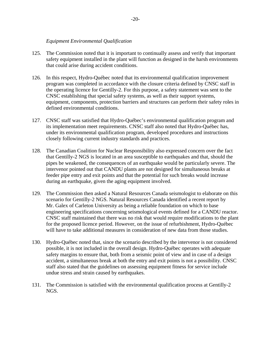#### *Equipment Environmental Qualification*

- 125. The Commission noted that it is important to continually assess and verify that important safety equipment installed in the plant will function as designed in the harsh environments that could arise during accident conditions.
- 126. In this respect, Hydro-Québec noted that its environmental qualification improvement program was completed in accordance with the closure criteria defined by CNSC staff in the operating licence for Gentilly-2. For this purpose, a safety statement was sent to the CNSC establishing that special safety systems, as well as their support systems, equipment, components, protection barriers and structures can perform their safety roles in defined environmental conditions.
- 127. CNSC staff was satisfied that Hydro-Québec's environmental qualification program and its implementation meet requirements. CNSC staff also noted that Hydro-Québec has, under its environmental qualification program, developed procedures and instructions closely following current industry standards and practices.
- 128. The Canadian Coalition for Nuclear Responsibility also expressed concern over the fact that Gentilly-2 NGS is located in an area susceptible to earthquakes and that, should the pipes be weakened, the consequences of an earthquake would be particularly severe. The intervenor pointed out that CANDU plants are not designed for simultaneous breaks at feeder pipe entry and exit points and that the potential for such breaks would increase during an earthquake, given the aging equipment involved.
- 129. The Commission then asked a Natural Resources Canada seismologist to elaborate on this scenario for Gentilly-2 NGS. Natural Resources Canada identified a recent report by Mr. Galex of Carleton University as being a reliable foundation on which to base engineering specifications concerning seismological events defined for a CANDU reactor. CNSC staff maintained that there was no risk that would require modifications to the plant for the proposed licence period. However, on the issue of refurbishment, Hydro-Québec will have to take additional measures in consideration of new data from those studies.
- 130. Hydro-Québec noted that, since the scenario described by the intervenor is not considered possible, it is not included in the overall design. Hydro-Québec operates with adequate safety margins to ensure that, both from a seismic point of view and in case of a design accident, a simultaneous break at both the entry and exit points is not a possibility. CNSC staff also stated that the guidelines on assessing equipment fitness for service include undue stress and strain caused by earthquakes.
- 131. The Commission is satisfied with the environmental qualification process at Gentilly-2 NGS.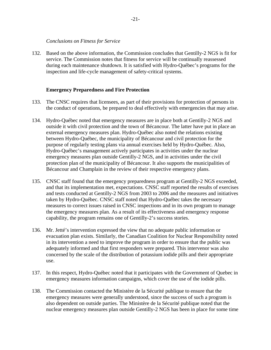#### *Conclusions on Fitness for Service*

132. Based on the above information, the Commission concludes that Gentilly-2 NGS is fit for service. The Commission notes that fitness for service will be continually reassessed during each maintenance shutdown. It is satisfied with Hydro-Québec's programs for the inspection and life-cycle management of safety-critical systems.

#### **Emergency Preparedness and Fire Protection**

- 133. The CNSC requires that licensees, as part of their provisions for protection of persons in the conduct of operations, be prepared to deal effectively with emergencies that may arise.
- 134. Hydro-Québec noted that emergency measures are in place both at Gentilly-2 NGS and outside it with civil protection and the town of Bécancour. The latter have put in place an external emergency measures plan. Hydro-Québec also noted the relations existing between Hydro-Québec, the municipality of Bécancour and civil protection for the purpose of regularly testing plans via annual exercises held by Hydro-Québec. Also, Hydro-Québec's management actively participates in activities under the nuclear emergency measures plan outside Gentilly-2 NGS, and in activities under the civil protection plan of the municipality of Bécancour. It also supports the municipalities of Bécancour and Champlain in the review of their respective emergency plans.
- 135. CNSC staff found that the emergency preparedness program at Gentilly-2 NGS exceeded, and that its implementation met, expectations. CNSC staff reported the results of exercises and tests conducted at Gentilly-2 NGS from 2003 to 2006 and the measures and initiatives taken by Hydro-Québec. CNSC staff noted that Hydro-Québec takes the necessary measures to correct issues raised in CNSC inspections and in its own program to manage the emergency measures plan. As a result of its effectiveness and emergency response capability, the program remains one of Gentilly-2's success stories.
- 136. Mr. Jetté's intervention expressed the view that no adequate public information or evacuation plan exists. Similarly, the Canadian Coalition for Nuclear Responsibility noted in its intervention a need to improve the program in order to ensure that the public was adequately informed and that first responders were prepared. This intervenor was also concerned by the scale of the distribution of potassium iodide pills and their appropriate use.
- 137. In this respect, Hydro-Québec noted that it participates with the Government of Quebec in emergency measures information campaigns, which cover the use of the iodide pills.
- 138. The Commission contacted the Ministère de la Sécurité publique to ensure that the emergency measures were generally understood, since the success of such a program is also dependent on outside parties. The Ministère de la Sécurité publique noted that the nuclear emergency measures plan outside Gentilly-2 NGS has been in place for some time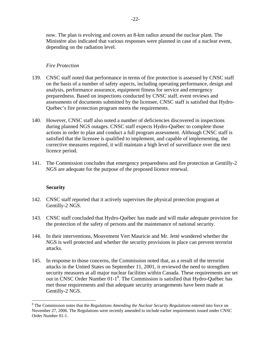now. The plan is evolving and covers an 8-km radius around the nuclear plant. The Ministère also indicated that various responses were planned in case of a nuclear event, depending on the radiation level.

#### *Fire Protection*

- 139. CNSC staff noted that performance in terms of fire protection is assessed by CNSC staff on the basis of a number of safety aspects, including operating performance, design and analysis, performance assurance, equipment fitness for service and emergency preparedness. Based on inspections conducted by CNSC staff, event reviews and assessments of documents submitted by the licensee, CNSC staff is satisfied that Hydro-Québec's fire protection program meets the requirements.
- 140. However, CNSC staff also noted a number of deficiencies discovered in inspections during planned NGS outages. CNSC staff expects Hydro-Québec to complete those actions in order to plan and conduct a full program assessment. Although CNSC staff is satisfied that the licensee is qualified to implement, and capable of implementing, the corrective measures required, it will maintain a high level of surveillance over the next licence period.
- 141. The Commission concludes that emergency preparedness and fire protection at Gentilly-2 NGS are adequate for the purpose of the proposed licence renewal.

#### **Security**

 $\overline{a}$ 

- 142. CNSC staff reported that it actively supervises the physical protection program at Gentilly-2 NGS.
- 143. CNSC staff concluded that Hydro-Québec has made and will make adequate provision for the protection of the safety of persons and the maintenance of national security.
- 144. In their interventions, Mouvement Vert Mauricie and Mr. Jetté wondered whether the NGS is well protected and whether the security provisions in place can prevent terrorist attacks.
- 145. In response to those concerns, the Commission noted that, as a result of the terrorist attacks in the United States on September 11, 2001, it reviewed the need to strengthen security measures at all major nuclear facilities within Canada. These requirements are set out in CNSC Order Number 01-1<sup>8</sup>. The Commission is satisfied that Hydro-Québec has met those requirements and that adequate security arrangements have been made at Gentilly-2 NGS.

<sup>&</sup>lt;sup>8</sup> The Commission notes that the *Regulations Amending the Nuclear Security Regulations* entered into force on November 27, 2006. The Regulations were recently amended to include earlier requirements issued under CNSC Order Number 01-1.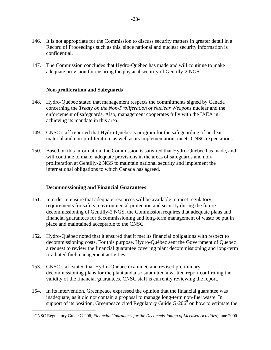- 146. It is not appropriate for the Commission to discuss security matters in greater detail in a Record of Proceedings such as this, since national and nuclear security information is confidential.
- 147. The Commission concludes that Hydro-Québec has made and will continue to make adequate provision for ensuring the physical security of Gentilly-2 NGS.

#### **Non-proliferation and Safeguards**

- 148. Hydro-Québec stated that management respects the commitments signed by Canada concerning the *Treaty on the Non-Proliferation of Nuclear Weapons* nuclear and the enforcement of safeguards. Also, management cooperates fully with the IAEA in achieving its mandate in this area.
- 149. CNSC staff reported that Hydro-Québec's program for the safeguarding of nuclear material and non-proliferation, as well as its implementation, meets CNSC expectations.
- 150. Based on this information, the Commission is satisfied that Hydro-Québec has made, and will continue to make, adequate provisions in the areas of safeguards and nonproliferation at Gentilly-2 NGS to maintain national security and implement the international obligations to which Canada has agreed.

#### **Decommissioning and Financial Guarantees**

 $\overline{a}$ 

- 151. In order to ensure that adequate resources will be available to meet regulatory requirements for safety, environmental protection and security during the future decommissioning of Gentilly-2 NGS, the Commission requires that adequate plans and financial guarantees for decommissioning and long-term management of waste be put in place and maintained acceptable to the CNSC.
- 152. Hydro-Québec noted that it ensured that it met its financial obligations with respect to decommissioning costs. For this purpose, Hydro-Québec sent the Government of Quebec a request to review the financial guarantee covering plant decommissioning and long-term irradiated fuel management activities.
- 153. CNSC staff stated that Hydro-Québec examined and revised preliminary decommissioning plans for the plant and also submitted a written report confirming the validity of the financial guarantees. CNSC staff is currently reviewing the report.
- 154. In its intervention, Greenpeace expressed the opinion that the financial guarantee was inadequate, as it did not contain a proposal to manage long-term non-fuel waste. In support of its position, Greenpeace cited Regulatory Guide G-206<sup>9</sup> on how to estimate the

<sup>&</sup>lt;sup>9</sup> CNSC Regulatory Guide G-206, *Financial Guarantees for the Decommissioning of Licensed Activities, June 2000.*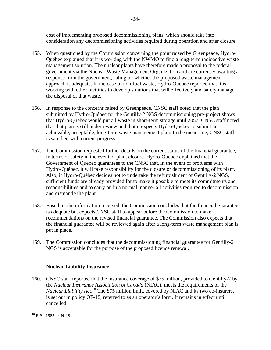cost of implementing proposed decommissioning plans, which should take into consideration any decommissioning activities required during operation and after closure.

- 155. When questioned by the Commission concerning the point raised by Greenpeace, Hydro-Québec explained that it is working with the NWMO to find a long-term radioactive waste management solution. The nuclear plants have therefore made a proposal to the federal government via the Nuclear Waste Management Organization and are currently awaiting a response from the government, ruling on whether the proposed waste management approach is adequate. In the case of non-fuel waste, Hydro-Québec reported that it is working with other facilities to develop solutions that will effectively and safely manage the disposal of that waste.
- 156. In response to the concerns raised by Greenpeace, CNSC staff noted that the plan submitted by Hydro-Québec for the Gentilly-2 NGS decommissioning pre-project shows that Hydro-Québec would put all waste in short-term storage until 2057. CNSC staff noted that that plan is still under review and that it expects Hydro-Québec to submit an achievable, acceptable, long-term waste management plan. In the meantime, CNSC staff is satisfied with current progress.
- 157. The Commission requested further details on the current status of the financial guarantee, in terms of safety in the event of plant closure. Hydro-Québec explained that the Government of Quebec guarantees to the CNSC that, in the event of problems with Hydro-Québec, it will take responsibility for the closure or decommissioning of its plant. Also, if Hydro-Québec decides not to undertake the refurbishment of Gentilly-2 NGS, sufficient funds are already provided for to make it possible to meet its commitments and responsibilities and to carry on in a normal manner all activities required to decommission and dismantle the plant.
- 158. Based on the information received, the Commission concludes that the financial guarantee is adequate but expects CNSC staff to appear before the Commission to make recommendations on the revised financial guarantee. The Commission also expects that the financial guarantee will be reviewed again after a long-term waste management plan is put in place.
- 159. The Commission concludes that the decommissioning financial guarantee for Gentilly-2 NGS is acceptable for the purpose of the proposed licence renewal.

# **Nuclear Liability Insurance**

160. CNSC staff reported that the insurance coverage of \$75 million, provided to Gentilly-2 by the *Nuclear Insurance Association of Canada* (NIAC), meets the requirements of the *Nuclear Liability Act*. 10 The \$75 million limit, covered by NIAC and its two co-insurers, is set out in policy OF-18, referred to as an operator's form. It remains in effect until cancelled.

<sup>&</sup>lt;u>.</u>  $10$  R.S., 1985, c. N-28.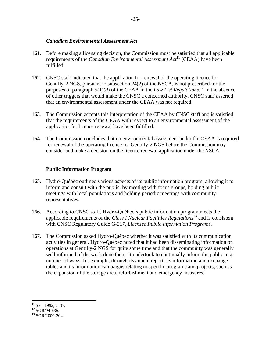#### *Canadian Environmental Assessment Act*

- 161. Before making a licensing decision, the Commission must be satisfied that all applicable requirements of the *Canadian Environmental Assessment Act*11 (CEAA) have been fulfilled.
- 162. CNSC staff indicated that the application for renewal of the operating licence for Gentilly-2 NGS, pursuant to subsection 24(2) of the NSCA, is not prescribed for the purposes of paragraph  $5(1)(d)$  of the CEAA in the *Law List Regulations*.<sup>12</sup> In the absence of other triggers that would make the CNSC a concerned authority, CNSC staff asserted that an environmental assessment under the CEAA was not required.
- 163. The Commission accepts this interpretation of the CEAA by CNSC staff and is satisfied that the requirements of the CEAA with respect to an environmental assessment of the application for licence renewal have been fulfilled.
- 164. The Commission concludes that no environmental assessment under the CEAA is required for renewal of the operating licence for Gentilly-2 NGS before the Commission may consider and make a decision on the licence renewal application under the NSCA.

# **Public Information Program**

- 165. Hydro-Québec outlined various aspects of its public information program, allowing it to inform and consult with the public, by meeting with focus groups, holding public meetings with local populations and holding periodic meetings with community representatives.
- 166. According to CNSC staff, Hydro-Québec's public information program meets the applicable requirements of the *Class I Nuclear Facilities Regulations*13 and is consistent with CNSC Regulatory Guide G-217, *Licensee Public Information Programs*.
- 167. The Commission asked Hydro-Québec whether it was satisfied with its communication activities in general. Hydro-Québec noted that it had been disseminating information on operations at Gentilly-2 NGS for quite some time and that the community was generally well informed of the work done there. It undertook to continually inform the public in a number of ways, for example, through its annual report, its information and exchange tables and its information campaigns relating to specific programs and projects, such as the expansion of the storage area, refurbishment and emergency measures.

 $\overline{a}$ 

 $11$  S.C. 1992, c. 37.

 $12$  SOR/94-636.

<sup>13</sup> SOR/2000-204.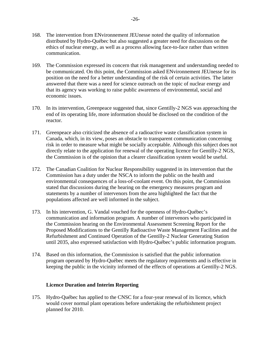- 168. The intervention from ENvironnement JEUnesse noted the quality of information distributed by Hydro-Québec but also suggested a greater need for discussions on the ethics of nuclear energy, as well as a process allowing face-to-face rather than written communication.
- 169. The Commission expressed its concern that risk management and understanding needed to be communicated. On this point, the Commission asked ENvironnement JEUnesse for its position on the need for a better understanding of the risk of certain activities. The latter answered that there was a need for science outreach on the topic of nuclear energy and that its agency was working to raise public awareness of environmental, social and economic issues.
- 170. In its intervention, Greenpeace suggested that, since Gentilly-2 NGS was approaching the end of its operating life, more information should be disclosed on the condition of the reactor.
- 171. Greenpeace also criticized the absence of a radioactive waste classification system in Canada, which, in its view, poses an obstacle to transparent communication concerning risk in order to measure what might be socially acceptable. Although this subject does not directly relate to the application for renewal of the operating licence for Gentilly-2 NGS, the Commission is of the opinion that a clearer classification system would be useful.
- 172. The Canadian Coalition for Nuclear Responsibility suggested in its intervention that the Commission has a duty under the NSCA to inform the public on the health and environmental consequences of a loss-of-coolant event. On this point, the Commission stated that discussions during the hearing on the emergency measures program and statements by a number of intervenors from the area highlighted the fact that the populations affected are well informed in the subject.
- 173. In his intervention, G. Vandal vouched for the openness of Hydro-Québec's communication and information program. A number of intervenors who participated in the Commission hearing on the Environmental Assessment Screening Report for the Proposed Modifications to the Gentilly Radioactive Waste Management Facilities and the Refurbishment and Continued Operation of the Gentilly-2 Nuclear Generating Station until 2035, also expressed satisfaction with Hydro-Québec's public information program.
- 174. Based on this information, the Commission is satisfied that the public information program operated by Hydro-Québec meets the regulatory requirements and is effective in keeping the public in the vicinity informed of the effects of operations at Gentilly-2 NGS.

#### **Licence Duration and Interim Reporting**

175. Hydro-Québec has applied to the CNSC for a four-year renewal of its licence, which would cover normal plant operations before undertaking the refurbishment project planned for 2010.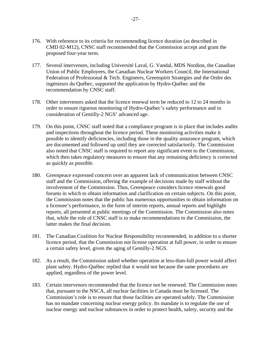- 176. With reference to its criteria for recommending licence duration (as described in CMD 02-M12), CNSC staff recommended that the Commission accept and grant the proposed four-year term.
- 177. Several intervenors, including Université Laval, G. Vandal, MDS Nordion, the Canadian Union of Public Employees, the Canadian Nuclear Workers Council, the International Federation of Professional & Tech. Engineers, Greenspirit Strategies and the Ordre des ingénieurs du Québec, supported the application by Hydro-Québec and the recommendation by CNSC staff.
- 178. Other intervenors asked that the licence renewal term be reduced to 12 to 24 months in order to ensure rigorous monitoring of Hydro-Québec's safety performance and in consideration of Gentilly-2 NGS' advanced age.
- 179. On this point, CNSC staff noted that a compliance program is in place that includes audits and inspections throughout the licence period. These monitoring activities make it possible to identify deficiencies, including those in the quality assurance program, which are documented and followed up until they are corrected satisfactorily. The Commission also noted that CNSC staff is required to report any significant event to the Commission, which then takes regulatory measures to ensure that any remaining deficiency is corrected as quickly as possible.
- 180. Greenpeace expressed concern over an apparent lack of communication between CNSC staff and the Commission, offering the example of decisions made by staff without the involvement of the Commission. Thus, Greenpeace considers licence renewals good forums in which to obtain information and clarification on certain subjects. On this point, the Commission notes that the public has numerous opportunities to obtain information on a licensee's performance, in the form of interim reports, annual reports and highlight reports, all presented at public meetings of the Commission. The Commission also notes that, while the role of CNSC staff is to make recommendations to the Commission, the latter makes the final decision.
- 181. The Canadian Coalition for Nuclear Responsibility recommended, in addition to a shorter licence period, that the Commission not license operation at full power, in order to ensure a certain safety level, given the aging of Gentilly-2 NGS.
- 182. As a result, the Commission asked whether operation at less-than-full power would affect plant safety. Hydro-Québec replied that it would not because the same procedures are applied, regardless of the power level.
- 183. Certain intervenors recommended that the licence not be renewed. The Commission notes that, pursuant to the NSCA, all nuclear facilities in Canada must be licensed. The Commission's role is to ensure that those facilities are operated safely. The Commission has no mandate concerning nuclear energy policy. Its mandate is to regulate the use of nuclear energy and nuclear substances in order to protect health, safety, security and the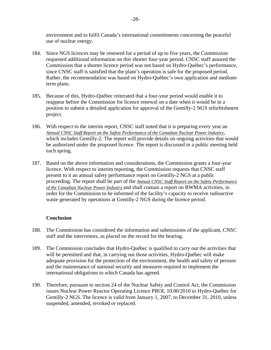environment and to fulfil Canada's international commitments concerning the peaceful use of nuclear energy.

- 184. Since NGS licences may be renewed for a period of up to five years, the Commission requested additional information on this shorter four-year period. CNSC staff assured the Commission that a shorter licence period was not based on Hydro-Québec's performance, since CNSC staff is satisfied that the plant's operation is safe for the proposed period. Rather, the recommendation was based on Hydro-Québec's own application and mediumterm plans.
- 185. Because of this, Hydro-Québec reiterated that a four-year period would enable it to reappear before the Commission for licence renewal on a date when it would be in a position to submit a detailed application for approval of the Gentilly-2 NGS refurbishment project.
- 186. With respect to the interim report, CNSC staff noted that it is preparing every year an *Annual CNSC Staff Report on the Safety Performance of the Canadian Nuclear Power Industry*, which includes Gentilly-2. The report will provide details on ongoing activities that would be authorized under the proposed licence. The report is discussed in a public meeting held each spring.
- 187. Based on the above information and considerations, the Commission grants a four-year licence. With respect to interim reporting, the Commission requests that CNSC staff present to it an annual safety performance report on Gentilly-2 NGS at a public proceeding. The report shall be part of the *Annual CNSC Staff Report on the Safety Performance of the Canadian Nuclear Power Industry* and shall contain a report on RWMA activities, in order for the Commission to be informed of the facility's capacity to receive radioactive waste generated by operations at Gentilly-2 NGS during the licence period.

#### **Conclusion**

- 188. The Commission has considered the information and submissions of the applicant, CNSC staff and the intervenors, as placed on the record for the hearing.
- 189. The Commission concludes that Hydro-Québec is qualified to carry out the activities that will be permitted and that, in carrying out those activities, Hydro-Québec will make adequate provision for the protection of the environment, the health and safety of persons and the maintenance of national security and measures required to implement the international obligations to which Canada has agreed.
- 190. Therefore, pursuant to section 24 of the Nuclear Safety and Control Act, the Commission issues Nuclear Power Reactor Operating Licence PROL 10.00/2010 to Hydro-Québec for Gentilly-2 NGS. The licence is valid from January 1, 2007, to December 31, 2010, unless suspended, amended, revoked or replaced.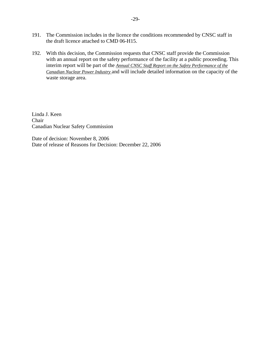- 191. The Commission includes in the licence the conditions recommended by CNSC staff in the draft licence attached to CMD 06-H15.
- 192. With this decision, the Commission requests that CNSC staff provide the Commission with an annual report on the safety performance of the facility at a public proceeding. This interim report will be part of the *Annual CNSC Staff Report on the Safety Performance of the Canadian Nuclear Power Industry* and will include detailed information on the capacity of the waste storage area.

Linda J. Keen Chair Canadian Nuclear Safety Commission

Date of decision: November 8, 2006 Date of release of Reasons for Decision: December 22, 2006